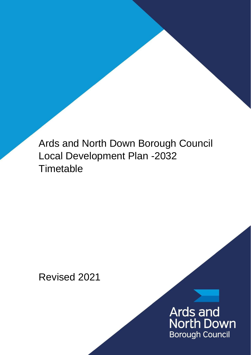Ards and North Down Borough Council Local Development Plan -2032 **Timetable** 

Revised 2021

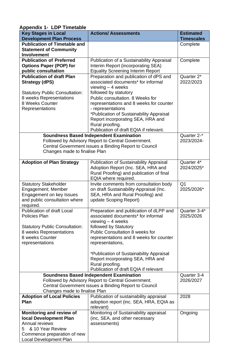| <b>Development Plan Process</b><br><b>Timescales</b><br><b>Publication of Timetable and</b><br>Complete<br><b>Statement of Community</b><br><b>Involvement</b><br><b>Publication of Preferred</b><br>Publication of a Sustainability Appraisal<br>Complete<br><b>Options Paper (POP) for</b><br>Interim Report (incorporating SEA)<br>public consultation<br><b>Equality Screening Interim Report</b><br><b>Publication of draft Plan</b><br>Preparation and publication of dPS and<br>Quarter 2*<br>associated documents* for informal<br>2022/2023<br><b>Strategy (dPS)</b><br>viewing $-4$ weeks<br>followed by statutory<br><b>Statutory Public Consultation:</b><br>Public consultation. 8 Weeks for<br>8 weeks Representations<br>8 Weeks Counter<br>representations and 8 weeks for counter<br>- representations<br>Representations<br>*Publication of Sustainability Appraisal<br>Report incorporating SEA, HRA and<br>Rural proofing.<br>Publication of draft EQIA if relevant.<br>Quarter 2-*<br><b>Soundness Based Independent Examination</b><br>Followed by Advisory Report to Central Government.<br>2023/2024-<br>Central Government issues a Binding Report to Council<br>Changes made to finalise Plan<br>Quarter 4*<br><b>Adoption of Plan Strategy</b><br><b>Publication of Sustainability Appraisal</b><br>Adoption Report (Inc. SEA, HRA and<br>2024/2025*<br>Rural Proofing) and publication of final<br>EQIA where required.<br>Q <sub>1</sub><br>Invite comments from consultation body<br><b>Statutory Stakeholder</b><br>2025/2026*<br>Engagement; Member<br>on draft Sustainability Appraisal (Inc.<br>SEA, HRA and Rural Proofing) and<br>Engagement on key Issues<br>and public consultation where<br>update Scoping Report)<br>required.<br><b>Publication of draft Local</b><br>Preparation and publication of dLPP and<br>Quarter 3-4* |
|------------------------------------------------------------------------------------------------------------------------------------------------------------------------------------------------------------------------------------------------------------------------------------------------------------------------------------------------------------------------------------------------------------------------------------------------------------------------------------------------------------------------------------------------------------------------------------------------------------------------------------------------------------------------------------------------------------------------------------------------------------------------------------------------------------------------------------------------------------------------------------------------------------------------------------------------------------------------------------------------------------------------------------------------------------------------------------------------------------------------------------------------------------------------------------------------------------------------------------------------------------------------------------------------------------------------------------------------------------------------------------------------------------------------------------------------------------------------------------------------------------------------------------------------------------------------------------------------------------------------------------------------------------------------------------------------------------------------------------------------------------------------------------------------------------------------------------------------------------------------|
|                                                                                                                                                                                                                                                                                                                                                                                                                                                                                                                                                                                                                                                                                                                                                                                                                                                                                                                                                                                                                                                                                                                                                                                                                                                                                                                                                                                                                                                                                                                                                                                                                                                                                                                                                                                                                                                                        |
|                                                                                                                                                                                                                                                                                                                                                                                                                                                                                                                                                                                                                                                                                                                                                                                                                                                                                                                                                                                                                                                                                                                                                                                                                                                                                                                                                                                                                                                                                                                                                                                                                                                                                                                                                                                                                                                                        |
|                                                                                                                                                                                                                                                                                                                                                                                                                                                                                                                                                                                                                                                                                                                                                                                                                                                                                                                                                                                                                                                                                                                                                                                                                                                                                                                                                                                                                                                                                                                                                                                                                                                                                                                                                                                                                                                                        |
|                                                                                                                                                                                                                                                                                                                                                                                                                                                                                                                                                                                                                                                                                                                                                                                                                                                                                                                                                                                                                                                                                                                                                                                                                                                                                                                                                                                                                                                                                                                                                                                                                                                                                                                                                                                                                                                                        |
|                                                                                                                                                                                                                                                                                                                                                                                                                                                                                                                                                                                                                                                                                                                                                                                                                                                                                                                                                                                                                                                                                                                                                                                                                                                                                                                                                                                                                                                                                                                                                                                                                                                                                                                                                                                                                                                                        |
|                                                                                                                                                                                                                                                                                                                                                                                                                                                                                                                                                                                                                                                                                                                                                                                                                                                                                                                                                                                                                                                                                                                                                                                                                                                                                                                                                                                                                                                                                                                                                                                                                                                                                                                                                                                                                                                                        |
|                                                                                                                                                                                                                                                                                                                                                                                                                                                                                                                                                                                                                                                                                                                                                                                                                                                                                                                                                                                                                                                                                                                                                                                                                                                                                                                                                                                                                                                                                                                                                                                                                                                                                                                                                                                                                                                                        |
|                                                                                                                                                                                                                                                                                                                                                                                                                                                                                                                                                                                                                                                                                                                                                                                                                                                                                                                                                                                                                                                                                                                                                                                                                                                                                                                                                                                                                                                                                                                                                                                                                                                                                                                                                                                                                                                                        |
|                                                                                                                                                                                                                                                                                                                                                                                                                                                                                                                                                                                                                                                                                                                                                                                                                                                                                                                                                                                                                                                                                                                                                                                                                                                                                                                                                                                                                                                                                                                                                                                                                                                                                                                                                                                                                                                                        |
|                                                                                                                                                                                                                                                                                                                                                                                                                                                                                                                                                                                                                                                                                                                                                                                                                                                                                                                                                                                                                                                                                                                                                                                                                                                                                                                                                                                                                                                                                                                                                                                                                                                                                                                                                                                                                                                                        |
|                                                                                                                                                                                                                                                                                                                                                                                                                                                                                                                                                                                                                                                                                                                                                                                                                                                                                                                                                                                                                                                                                                                                                                                                                                                                                                                                                                                                                                                                                                                                                                                                                                                                                                                                                                                                                                                                        |
|                                                                                                                                                                                                                                                                                                                                                                                                                                                                                                                                                                                                                                                                                                                                                                                                                                                                                                                                                                                                                                                                                                                                                                                                                                                                                                                                                                                                                                                                                                                                                                                                                                                                                                                                                                                                                                                                        |
|                                                                                                                                                                                                                                                                                                                                                                                                                                                                                                                                                                                                                                                                                                                                                                                                                                                                                                                                                                                                                                                                                                                                                                                                                                                                                                                                                                                                                                                                                                                                                                                                                                                                                                                                                                                                                                                                        |
|                                                                                                                                                                                                                                                                                                                                                                                                                                                                                                                                                                                                                                                                                                                                                                                                                                                                                                                                                                                                                                                                                                                                                                                                                                                                                                                                                                                                                                                                                                                                                                                                                                                                                                                                                                                                                                                                        |
|                                                                                                                                                                                                                                                                                                                                                                                                                                                                                                                                                                                                                                                                                                                                                                                                                                                                                                                                                                                                                                                                                                                                                                                                                                                                                                                                                                                                                                                                                                                                                                                                                                                                                                                                                                                                                                                                        |
|                                                                                                                                                                                                                                                                                                                                                                                                                                                                                                                                                                                                                                                                                                                                                                                                                                                                                                                                                                                                                                                                                                                                                                                                                                                                                                                                                                                                                                                                                                                                                                                                                                                                                                                                                                                                                                                                        |
|                                                                                                                                                                                                                                                                                                                                                                                                                                                                                                                                                                                                                                                                                                                                                                                                                                                                                                                                                                                                                                                                                                                                                                                                                                                                                                                                                                                                                                                                                                                                                                                                                                                                                                                                                                                                                                                                        |
|                                                                                                                                                                                                                                                                                                                                                                                                                                                                                                                                                                                                                                                                                                                                                                                                                                                                                                                                                                                                                                                                                                                                                                                                                                                                                                                                                                                                                                                                                                                                                                                                                                                                                                                                                                                                                                                                        |
|                                                                                                                                                                                                                                                                                                                                                                                                                                                                                                                                                                                                                                                                                                                                                                                                                                                                                                                                                                                                                                                                                                                                                                                                                                                                                                                                                                                                                                                                                                                                                                                                                                                                                                                                                                                                                                                                        |
|                                                                                                                                                                                                                                                                                                                                                                                                                                                                                                                                                                                                                                                                                                                                                                                                                                                                                                                                                                                                                                                                                                                                                                                                                                                                                                                                                                                                                                                                                                                                                                                                                                                                                                                                                                                                                                                                        |
|                                                                                                                                                                                                                                                                                                                                                                                                                                                                                                                                                                                                                                                                                                                                                                                                                                                                                                                                                                                                                                                                                                                                                                                                                                                                                                                                                                                                                                                                                                                                                                                                                                                                                                                                                                                                                                                                        |
|                                                                                                                                                                                                                                                                                                                                                                                                                                                                                                                                                                                                                                                                                                                                                                                                                                                                                                                                                                                                                                                                                                                                                                                                                                                                                                                                                                                                                                                                                                                                                                                                                                                                                                                                                                                                                                                                        |
|                                                                                                                                                                                                                                                                                                                                                                                                                                                                                                                                                                                                                                                                                                                                                                                                                                                                                                                                                                                                                                                                                                                                                                                                                                                                                                                                                                                                                                                                                                                                                                                                                                                                                                                                                                                                                                                                        |
|                                                                                                                                                                                                                                                                                                                                                                                                                                                                                                                                                                                                                                                                                                                                                                                                                                                                                                                                                                                                                                                                                                                                                                                                                                                                                                                                                                                                                                                                                                                                                                                                                                                                                                                                                                                                                                                                        |
|                                                                                                                                                                                                                                                                                                                                                                                                                                                                                                                                                                                                                                                                                                                                                                                                                                                                                                                                                                                                                                                                                                                                                                                                                                                                                                                                                                                                                                                                                                                                                                                                                                                                                                                                                                                                                                                                        |
|                                                                                                                                                                                                                                                                                                                                                                                                                                                                                                                                                                                                                                                                                                                                                                                                                                                                                                                                                                                                                                                                                                                                                                                                                                                                                                                                                                                                                                                                                                                                                                                                                                                                                                                                                                                                                                                                        |
|                                                                                                                                                                                                                                                                                                                                                                                                                                                                                                                                                                                                                                                                                                                                                                                                                                                                                                                                                                                                                                                                                                                                                                                                                                                                                                                                                                                                                                                                                                                                                                                                                                                                                                                                                                                                                                                                        |
|                                                                                                                                                                                                                                                                                                                                                                                                                                                                                                                                                                                                                                                                                                                                                                                                                                                                                                                                                                                                                                                                                                                                                                                                                                                                                                                                                                                                                                                                                                                                                                                                                                                                                                                                                                                                                                                                        |
| associated documents* for informal<br>2025/2026<br><b>Policies Plan</b>                                                                                                                                                                                                                                                                                                                                                                                                                                                                                                                                                                                                                                                                                                                                                                                                                                                                                                                                                                                                                                                                                                                                                                                                                                                                                                                                                                                                                                                                                                                                                                                                                                                                                                                                                                                                |
| viewing $-4$ weeks                                                                                                                                                                                                                                                                                                                                                                                                                                                                                                                                                                                                                                                                                                                                                                                                                                                                                                                                                                                                                                                                                                                                                                                                                                                                                                                                                                                                                                                                                                                                                                                                                                                                                                                                                                                                                                                     |
| followed by Statutory<br><b>Statutory Public Consultation:</b>                                                                                                                                                                                                                                                                                                                                                                                                                                                                                                                                                                                                                                                                                                                                                                                                                                                                                                                                                                                                                                                                                                                                                                                                                                                                                                                                                                                                                                                                                                                                                                                                                                                                                                                                                                                                         |
| <b>Public Consultation 8 weeks for</b><br>8 weeks Representations<br>8 weeks Counter<br>representations and 8 weeks for counter                                                                                                                                                                                                                                                                                                                                                                                                                                                                                                                                                                                                                                                                                                                                                                                                                                                                                                                                                                                                                                                                                                                                                                                                                                                                                                                                                                                                                                                                                                                                                                                                                                                                                                                                        |
| representations<br>representations,                                                                                                                                                                                                                                                                                                                                                                                                                                                                                                                                                                                                                                                                                                                                                                                                                                                                                                                                                                                                                                                                                                                                                                                                                                                                                                                                                                                                                                                                                                                                                                                                                                                                                                                                                                                                                                    |
|                                                                                                                                                                                                                                                                                                                                                                                                                                                                                                                                                                                                                                                                                                                                                                                                                                                                                                                                                                                                                                                                                                                                                                                                                                                                                                                                                                                                                                                                                                                                                                                                                                                                                                                                                                                                                                                                        |
| *Publication of Sustainability Appraisal                                                                                                                                                                                                                                                                                                                                                                                                                                                                                                                                                                                                                                                                                                                                                                                                                                                                                                                                                                                                                                                                                                                                                                                                                                                                                                                                                                                                                                                                                                                                                                                                                                                                                                                                                                                                                               |
| Report incorporating SEA, HRA and                                                                                                                                                                                                                                                                                                                                                                                                                                                                                                                                                                                                                                                                                                                                                                                                                                                                                                                                                                                                                                                                                                                                                                                                                                                                                                                                                                                                                                                                                                                                                                                                                                                                                                                                                                                                                                      |
| Rural proofing.                                                                                                                                                                                                                                                                                                                                                                                                                                                                                                                                                                                                                                                                                                                                                                                                                                                                                                                                                                                                                                                                                                                                                                                                                                                                                                                                                                                                                                                                                                                                                                                                                                                                                                                                                                                                                                                        |
| Publication of draft EQIA if relevant<br><b>Soundness Based Independent Examination</b><br>Quarter 3-4                                                                                                                                                                                                                                                                                                                                                                                                                                                                                                                                                                                                                                                                                                                                                                                                                                                                                                                                                                                                                                                                                                                                                                                                                                                                                                                                                                                                                                                                                                                                                                                                                                                                                                                                                                 |
| Followed by Advisory Report to Central Government.<br>2026/2027                                                                                                                                                                                                                                                                                                                                                                                                                                                                                                                                                                                                                                                                                                                                                                                                                                                                                                                                                                                                                                                                                                                                                                                                                                                                                                                                                                                                                                                                                                                                                                                                                                                                                                                                                                                                        |
| Central Government issues a Binding Report to Council                                                                                                                                                                                                                                                                                                                                                                                                                                                                                                                                                                                                                                                                                                                                                                                                                                                                                                                                                                                                                                                                                                                                                                                                                                                                                                                                                                                                                                                                                                                                                                                                                                                                                                                                                                                                                  |
| Changes made to finalise Plan                                                                                                                                                                                                                                                                                                                                                                                                                                                                                                                                                                                                                                                                                                                                                                                                                                                                                                                                                                                                                                                                                                                                                                                                                                                                                                                                                                                                                                                                                                                                                                                                                                                                                                                                                                                                                                          |
| <b>Adoption of Local Policies</b><br>Publication of sustainability appraisal<br>2028                                                                                                                                                                                                                                                                                                                                                                                                                                                                                                                                                                                                                                                                                                                                                                                                                                                                                                                                                                                                                                                                                                                                                                                                                                                                                                                                                                                                                                                                                                                                                                                                                                                                                                                                                                                   |
| Plan<br>adoption report (inc. SEA, HRA, EQIA as<br>relevant)                                                                                                                                                                                                                                                                                                                                                                                                                                                                                                                                                                                                                                                                                                                                                                                                                                                                                                                                                                                                                                                                                                                                                                                                                                                                                                                                                                                                                                                                                                                                                                                                                                                                                                                                                                                                           |
| Monitoring of Sustainability appraisal<br>Monitoring and review of<br>Ongoing                                                                                                                                                                                                                                                                                                                                                                                                                                                                                                                                                                                                                                                                                                                                                                                                                                                                                                                                                                                                                                                                                                                                                                                                                                                                                                                                                                                                                                                                                                                                                                                                                                                                                                                                                                                          |
|                                                                                                                                                                                                                                                                                                                                                                                                                                                                                                                                                                                                                                                                                                                                                                                                                                                                                                                                                                                                                                                                                                                                                                                                                                                                                                                                                                                                                                                                                                                                                                                                                                                                                                                                                                                                                                                                        |
| local Development Plan<br>(inc, SEA, and other necessary                                                                                                                                                                                                                                                                                                                                                                                                                                                                                                                                                                                                                                                                                                                                                                                                                                                                                                                                                                                                                                                                                                                                                                                                                                                                                                                                                                                                                                                                                                                                                                                                                                                                                                                                                                                                               |
| Annual reviews<br>assessments)                                                                                                                                                                                                                                                                                                                                                                                                                                                                                                                                                                                                                                                                                                                                                                                                                                                                                                                                                                                                                                                                                                                                                                                                                                                                                                                                                                                                                                                                                                                                                                                                                                                                                                                                                                                                                                         |
| & 10 Year Review<br>5<br>Commence preparation of new                                                                                                                                                                                                                                                                                                                                                                                                                                                                                                                                                                                                                                                                                                                                                                                                                                                                                                                                                                                                                                                                                                                                                                                                                                                                                                                                                                                                                                                                                                                                                                                                                                                                                                                                                                                                                   |

## **Appendix 1- LDP Timetable**